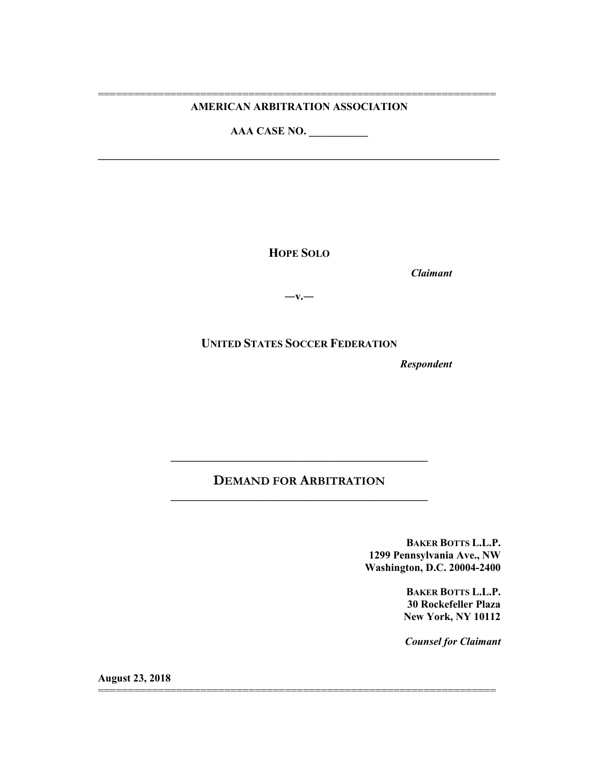#### ================================================================== **AMERICAN ARBITRATION ASSOCIATION**

**\_\_\_\_\_\_\_\_\_\_\_\_\_\_\_\_\_\_\_\_\_\_\_\_\_\_\_\_\_\_\_\_\_\_\_\_\_\_\_\_\_\_\_\_\_\_\_\_\_\_\_\_\_\_\_\_\_\_\_\_\_\_\_\_\_\_\_\_\_\_\_\_\_\_\_**

**AAA CASE NO. \_\_\_\_\_\_\_\_\_\_\_**

**HOPE SOLO**

*Claimant*

**―v.―**

**UNITED STATES SOCCER FEDERATION**

*Respondent*

# **DEMAND FOR ARBITRATION \_\_\_\_\_\_\_\_\_\_\_\_\_\_\_\_\_\_\_\_\_\_\_\_\_\_\_\_\_\_\_\_\_\_\_\_\_\_\_\_\_\_\_\_\_\_\_\_**

==================================================================

**\_\_\_\_\_\_\_\_\_\_\_\_\_\_\_\_\_\_\_\_\_\_\_\_\_\_\_\_\_\_\_\_\_\_\_\_\_\_\_\_\_\_\_\_\_\_\_\_**

**BAKER BOTTS L.L.P. 1299 Pennsylvania Ave., NW Washington, D.C. 20004-2400**

> **BAKER BOTTS L.L.P. 30 Rockefeller Plaza New York, NY 10112**

*Counsel for Claimant*

**August 23, 2018**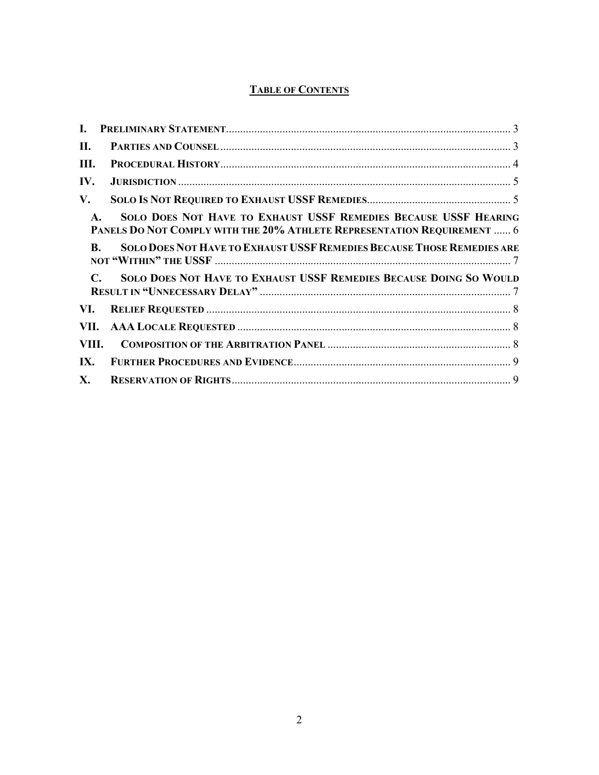# **TABLE OF CONTENTS**

| L.    |                                                                                                                                                               |  |
|-------|---------------------------------------------------------------------------------------------------------------------------------------------------------------|--|
| II.   |                                                                                                                                                               |  |
| Ш.    |                                                                                                                                                               |  |
| IV.   |                                                                                                                                                               |  |
| V.    |                                                                                                                                                               |  |
|       | SOLO DOES NOT HAVE TO EXHAUST USSF REMEDIES BECAUSE USSF HEARING<br>$\mathbf{A}$ .<br>PANELS DO NOT COMPLY WITH THE 20% ATHLETE REPRESENTATION REQUIREMENT  6 |  |
|       | SOLO DOES NOT HAVE TO EXHAUST USSF REMEDIES BECAUSE THOSE REMEDIES ARE<br>$\bf{R}$ .                                                                          |  |
|       | SOLO DOES NOT HAVE TO EXHAUST USSF REMEDIES BECAUSE DOING SO WOULD<br>$\mathbb{C}$                                                                            |  |
| VI.   |                                                                                                                                                               |  |
| VII.  |                                                                                                                                                               |  |
| VIII. |                                                                                                                                                               |  |
| IX.   |                                                                                                                                                               |  |
| X.    |                                                                                                                                                               |  |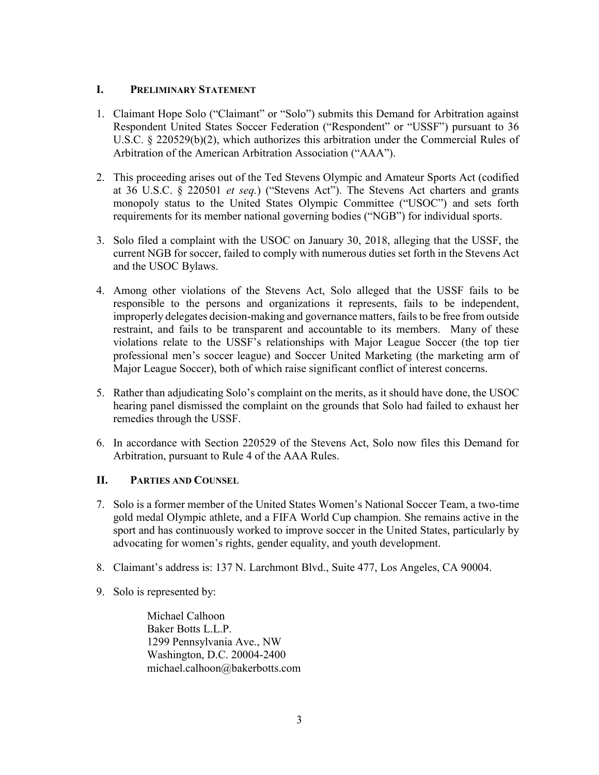### **I. PRELIMINARY STATEMENT**

- 1. Claimant Hope Solo ("Claimant" or "Solo") submits this Demand for Arbitration against Respondent United States Soccer Federation ("Respondent" or "USSF") pursuant to 36 U.S.C. § 220529(b)(2), which authorizes this arbitration under the Commercial Rules of Arbitration of the American Arbitration Association ("AAA").
- 2. This proceeding arises out of the Ted Stevens Olympic and Amateur Sports Act (codified at 36 U.S.C. § 220501 *et seq.*) ("Stevens Act"). The Stevens Act charters and grants monopoly status to the United States Olympic Committee ("USOC") and sets forth requirements for its member national governing bodies ("NGB") for individual sports.
- 3. Solo filed a complaint with the USOC on January 30, 2018, alleging that the USSF, the current NGB for soccer, failed to comply with numerous duties set forth in the Stevens Act and the USOC Bylaws.
- 4. Among other violations of the Stevens Act, Solo alleged that the USSF fails to be responsible to the persons and organizations it represents, fails to be independent, improperly delegates decision-making and governance matters, fails to be free from outside restraint, and fails to be transparent and accountable to its members. Many of these violations relate to the USSF's relationships with Major League Soccer (the top tier professional men's soccer league) and Soccer United Marketing (the marketing arm of Major League Soccer), both of which raise significant conflict of interest concerns.
- 5. Rather than adjudicating Solo's complaint on the merits, as it should have done, the USOC hearing panel dismissed the complaint on the grounds that Solo had failed to exhaust her remedies through the USSF.
- 6. In accordance with Section 220529 of the Stevens Act, Solo now files this Demand for Arbitration, pursuant to Rule 4 of the AAA Rules.

## **II. PARTIES AND COUNSEL**

- 7. Solo is a former member of the United States Women's National Soccer Team, a two-time gold medal Olympic athlete, and a FIFA World Cup champion. She remains active in the sport and has continuously worked to improve soccer in the United States, particularly by advocating for women's rights, gender equality, and youth development.
- 8. Claimant's address is: 137 N. Larchmont Blvd., Suite 477, Los Angeles, CA 90004.
- 9. Solo is represented by:

Michael Calhoon Baker Botts L.L.P. 1299 Pennsylvania Ave., NW Washington, D.C. 20004-2400 michael.calhoon@bakerbotts.com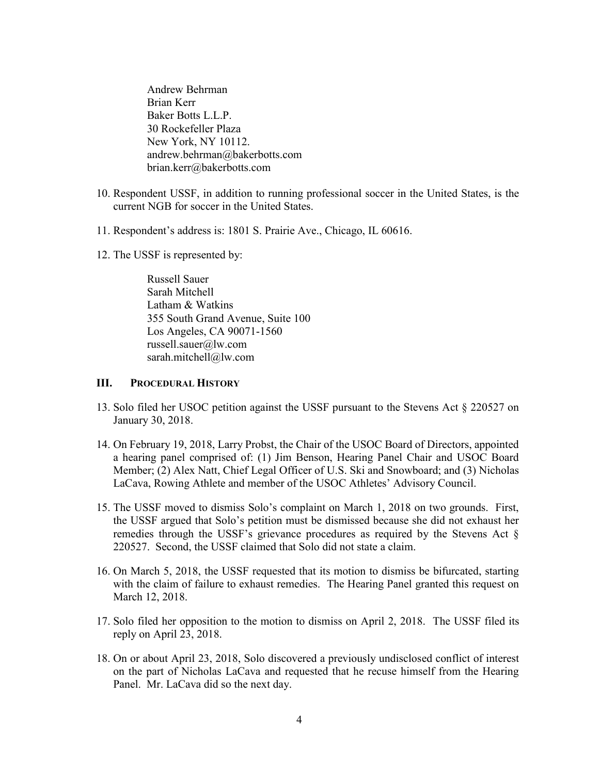Andrew Behrman Brian Kerr Baker Botts L.L.P. 30 Rockefeller Plaza New York, NY 10112. andrew.behrman@bakerbotts.com brian.kerr@bakerbotts.com

- 10. Respondent USSF, in addition to running professional soccer in the United States, is the current NGB for soccer in the United States.
- 11. Respondent's address is: 1801 S. Prairie Ave., Chicago, IL 60616.
- 12. The USSF is represented by:

Russell Sauer Sarah Mitchell Latham & Watkins 355 South Grand Avenue, Suite 100 Los Angeles, CA 90071-1560 russell.sauer@lw.com sarah.mitchell@lw.com

#### **III. PROCEDURAL HISTORY**

- 13. Solo filed her USOC petition against the USSF pursuant to the Stevens Act § 220527 on January 30, 2018.
- 14. On February 19, 2018, Larry Probst, the Chair of the USOC Board of Directors, appointed a hearing panel comprised of: (1) Jim Benson, Hearing Panel Chair and USOC Board Member; (2) Alex Natt, Chief Legal Officer of U.S. Ski and Snowboard; and (3) Nicholas LaCava, Rowing Athlete and member of the USOC Athletes' Advisory Council.
- 15. The USSF moved to dismiss Solo's complaint on March 1, 2018 on two grounds. First, the USSF argued that Solo's petition must be dismissed because she did not exhaust her remedies through the USSF's grievance procedures as required by the Stevens Act § 220527. Second, the USSF claimed that Solo did not state a claim.
- 16. On March 5, 2018, the USSF requested that its motion to dismiss be bifurcated, starting with the claim of failure to exhaust remedies. The Hearing Panel granted this request on March 12, 2018.
- 17. Solo filed her opposition to the motion to dismiss on April 2, 2018. The USSF filed its reply on April 23, 2018.
- 18. On or about April 23, 2018, Solo discovered a previously undisclosed conflict of interest on the part of Nicholas LaCava and requested that he recuse himself from the Hearing Panel. Mr. LaCava did so the next day.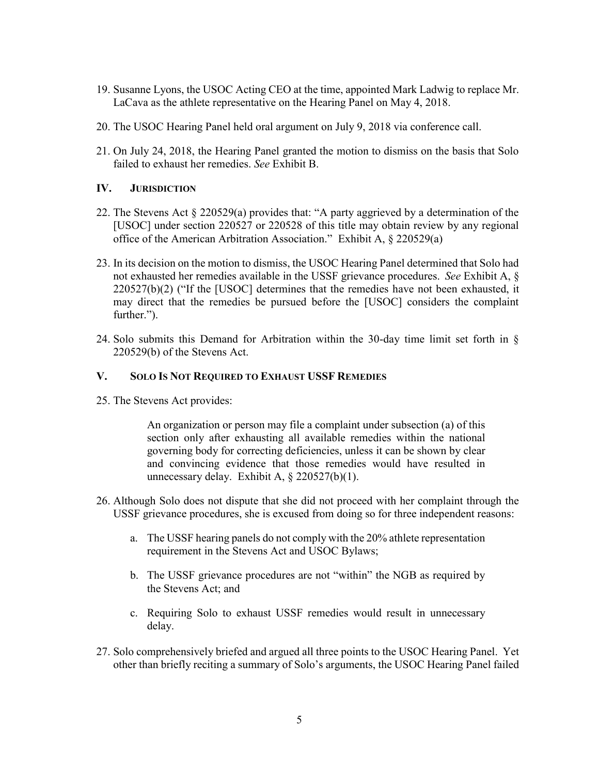- 19. Susanne Lyons, the USOC Acting CEO at the time, appointed Mark Ladwig to replace Mr. LaCava as the athlete representative on the Hearing Panel on May 4, 2018.
- 20. The USOC Hearing Panel held oral argument on July 9, 2018 via conference call.
- 21. On July 24, 2018, the Hearing Panel granted the motion to dismiss on the basis that Solo failed to exhaust her remedies. *See* Exhibit B.

## **IV. JURISDICTION**

- 22. The Stevens Act § 220529(a) provides that: "A party aggrieved by a determination of the [USOC] under section 220527 or 220528 of this title may obtain review by any regional office of the American Arbitration Association." Exhibit A, § 220529(a)
- 23. In its decision on the motion to dismiss, the USOC Hearing Panel determined that Solo had not exhausted her remedies available in the USSF grievance procedures. *See* Exhibit A, § 220527(b)(2) ("If the [USOC] determines that the remedies have not been exhausted, it may direct that the remedies be pursued before the [USOC] considers the complaint further.").
- 24. Solo submits this Demand for Arbitration within the 30-day time limit set forth in § 220529(b) of the Stevens Act.

#### **V. SOLO IS NOT REQUIRED TO EXHAUST USSF REMEDIES**

25. The Stevens Act provides:

An organization or person may file a complaint under subsection (a) of this section only after exhausting all available remedies within the national governing body for correcting deficiencies, unless it can be shown by clear and convincing evidence that those remedies would have resulted in unnecessary delay. Exhibit A,  $\S$  220527(b)(1).

- 26. Although Solo does not dispute that she did not proceed with her complaint through the USSF grievance procedures, she is excused from doing so for three independent reasons:
	- a. The USSF hearing panels do not comply with the 20% athlete representation requirement in the Stevens Act and USOC Bylaws;
	- b. The USSF grievance procedures are not "within" the NGB as required by the Stevens Act; and
	- c. Requiring Solo to exhaust USSF remedies would result in unnecessary delay.
- 27. Solo comprehensively briefed and argued all three points to the USOC Hearing Panel. Yet other than briefly reciting a summary of Solo's arguments, the USOC Hearing Panel failed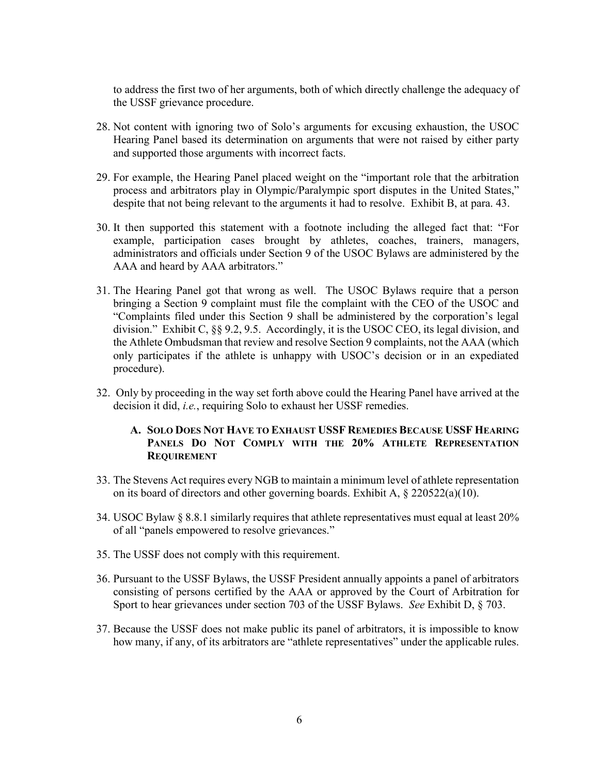to address the first two of her arguments, both of which directly challenge the adequacy of the USSF grievance procedure.

- 28. Not content with ignoring two of Solo's arguments for excusing exhaustion, the USOC Hearing Panel based its determination on arguments that were not raised by either party and supported those arguments with incorrect facts.
- 29. For example, the Hearing Panel placed weight on the "important role that the arbitration process and arbitrators play in Olympic/Paralympic sport disputes in the United States," despite that not being relevant to the arguments it had to resolve. Exhibit B, at para. 43.
- 30. It then supported this statement with a footnote including the alleged fact that: "For example, participation cases brought by athletes, coaches, trainers, managers, administrators and officials under Section 9 of the USOC Bylaws are administered by the AAA and heard by AAA arbitrators."
- 31. The Hearing Panel got that wrong as well. The USOC Bylaws require that a person bringing a Section 9 complaint must file the complaint with the CEO of the USOC and "Complaints filed under this Section 9 shall be administered by the corporation's legal division." Exhibit C, §§ 9.2, 9.5. Accordingly, it is the USOC CEO, its legal division, and the Athlete Ombudsman that review and resolve Section 9 complaints, not the AAA (which only participates if the athlete is unhappy with USOC's decision or in an expediated procedure).
- 32. Only by proceeding in the way set forth above could the Hearing Panel have arrived at the decision it did, *i.e.*, requiring Solo to exhaust her USSF remedies.

#### **A. SOLO DOES NOT HAVE TO EXHAUST USSF REMEDIES BECAUSE USSF HEARING PANELS DO NOT COMPLY WITH THE 20% ATHLETE REPRESENTATION REQUIREMENT**

- 33. The Stevens Act requires every NGB to maintain a minimum level of athlete representation on its board of directors and other governing boards. Exhibit A, § 220522(a)(10).
- 34. USOC Bylaw § 8.8.1 similarly requires that athlete representatives must equal at least 20% of all "panels empowered to resolve grievances."
- 35. The USSF does not comply with this requirement.
- 36. Pursuant to the USSF Bylaws, the USSF President annually appoints a panel of arbitrators consisting of persons certified by the AAA or approved by the Court of Arbitration for Sport to hear grievances under section 703 of the USSF Bylaws. *See* Exhibit D, § 703.
- 37. Because the USSF does not make public its panel of arbitrators, it is impossible to know how many, if any, of its arbitrators are "athlete representatives" under the applicable rules.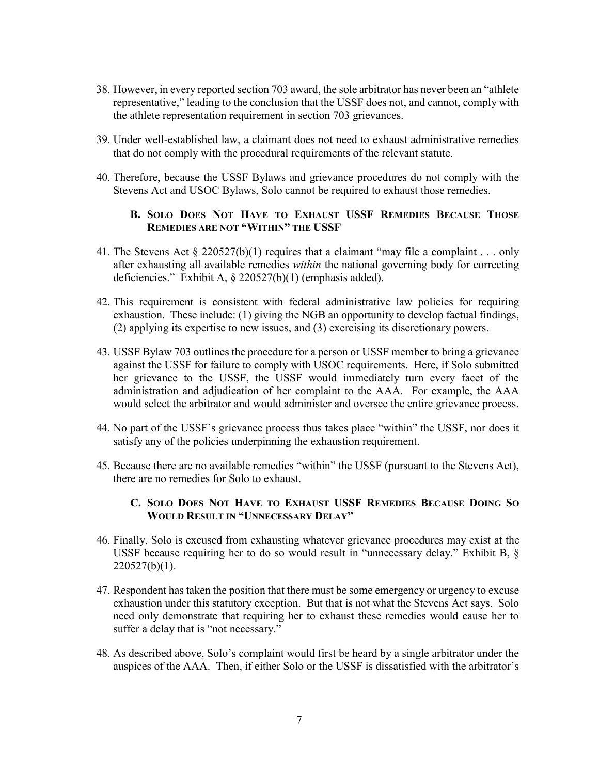- 38. However, in every reported section 703 award, the sole arbitrator has never been an "athlete representative," leading to the conclusion that the USSF does not, and cannot, comply with the athlete representation requirement in section 703 grievances.
- 39. Under well-established law, a claimant does not need to exhaust administrative remedies that do not comply with the procedural requirements of the relevant statute.
- 40. Therefore, because the USSF Bylaws and grievance procedures do not comply with the Stevens Act and USOC Bylaws, Solo cannot be required to exhaust those remedies.

#### **B. SOLO DOES NOT HAVE TO EXHAUST USSF REMEDIES BECAUSE THOSE REMEDIES ARE NOT "WITHIN" THE USSF**

- 41. The Stevens Act § 220527(b)(1) requires that a claimant "may file a complaint . . . only after exhausting all available remedies *within* the national governing body for correcting deficiencies." Exhibit A, § 220527(b)(1) (emphasis added).
- 42. This requirement is consistent with federal administrative law policies for requiring exhaustion. These include: (1) giving the NGB an opportunity to develop factual findings, (2) applying its expertise to new issues, and (3) exercising its discretionary powers.
- 43. USSF Bylaw 703 outlines the procedure for a person or USSF member to bring a grievance against the USSF for failure to comply with USOC requirements. Here, if Solo submitted her grievance to the USSF, the USSF would immediately turn every facet of the administration and adjudication of her complaint to the AAA. For example, the AAA would select the arbitrator and would administer and oversee the entire grievance process.
- 44. No part of the USSF's grievance process thus takes place "within" the USSF, nor does it satisfy any of the policies underpinning the exhaustion requirement.
- 45. Because there are no available remedies "within" the USSF (pursuant to the Stevens Act), there are no remedies for Solo to exhaust.

#### **C. SOLO DOES NOT HAVE TO EXHAUST USSF REMEDIES BECAUSE DOING SO WOULD RESULT IN "UNNECESSARY DELAY"**

- 46. Finally, Solo is excused from exhausting whatever grievance procedures may exist at the USSF because requiring her to do so would result in "unnecessary delay." Exhibit B, §  $220527(b)(1)$ .
- 47. Respondent has taken the position that there must be some emergency or urgency to excuse exhaustion under this statutory exception. But that is not what the Stevens Act says. Solo need only demonstrate that requiring her to exhaust these remedies would cause her to suffer a delay that is "not necessary."
- 48. As described above, Solo's complaint would first be heard by a single arbitrator under the auspices of the AAA. Then, if either Solo or the USSF is dissatisfied with the arbitrator's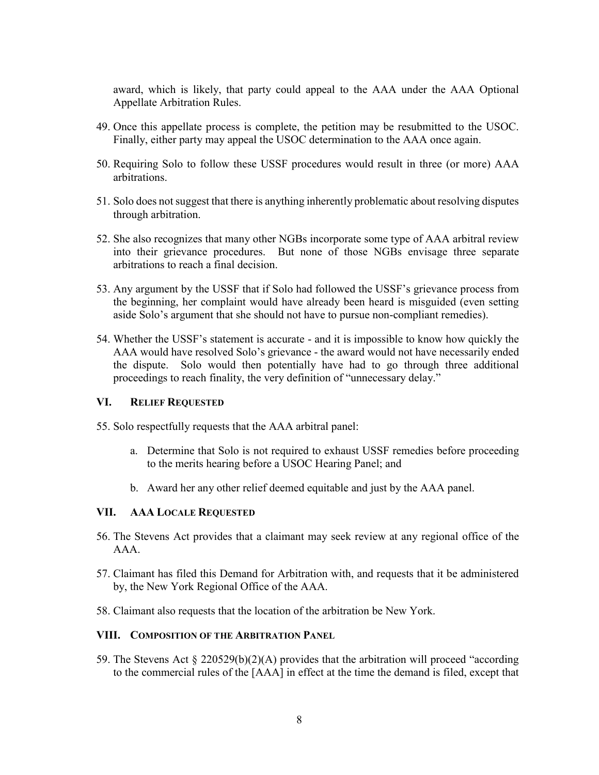award, which is likely, that party could appeal to the AAA under the AAA Optional Appellate Arbitration Rules.

- 49. Once this appellate process is complete, the petition may be resubmitted to the USOC. Finally, either party may appeal the USOC determination to the AAA once again.
- 50. Requiring Solo to follow these USSF procedures would result in three (or more) AAA arbitrations.
- 51. Solo does not suggest that there is anything inherently problematic about resolving disputes through arbitration.
- 52. She also recognizes that many other NGBs incorporate some type of AAA arbitral review into their grievance procedures. But none of those NGBs envisage three separate arbitrations to reach a final decision.
- 53. Any argument by the USSF that if Solo had followed the USSF's grievance process from the beginning, her complaint would have already been heard is misguided (even setting aside Solo's argument that she should not have to pursue non-compliant remedies).
- 54. Whether the USSF's statement is accurate and it is impossible to know how quickly the AAA would have resolved Solo's grievance - the award would not have necessarily ended the dispute. Solo would then potentially have had to go through three additional proceedings to reach finality, the very definition of "unnecessary delay."

#### **VI. RELIEF REQUESTED**

- 55. Solo respectfully requests that the AAA arbitral panel:
	- a. Determine that Solo is not required to exhaust USSF remedies before proceeding to the merits hearing before a USOC Hearing Panel; and
	- b. Award her any other relief deemed equitable and just by the AAA panel.

#### **VII. AAA LOCALE REQUESTED**

- 56. The Stevens Act provides that a claimant may seek review at any regional office of the AAA.
- 57. Claimant has filed this Demand for Arbitration with, and requests that it be administered by, the New York Regional Office of the AAA.
- 58. Claimant also requests that the location of the arbitration be New York.

#### **VIII. COMPOSITION OF THE ARBITRATION PANEL**

59. The Stevens Act § 220529(b)(2)(A) provides that the arbitration will proceed "according to the commercial rules of the [AAA] in effect at the time the demand is filed, except that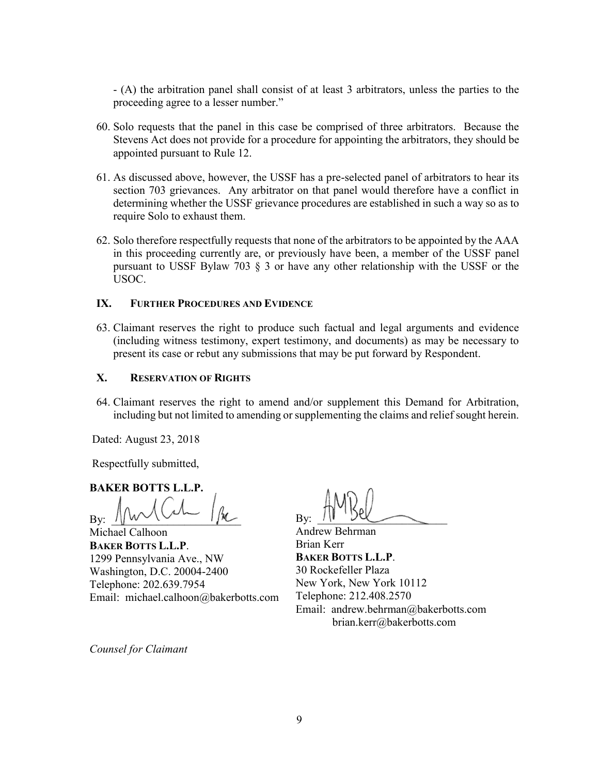- (A) the arbitration panel shall consist of at least 3 arbitrators, unless the parties to the proceeding agree to a lesser number."

- 60. Solo requests that the panel in this case be comprised of three arbitrators. Because the Stevens Act does not provide for a procedure for appointing the arbitrators, they should be appointed pursuant to Rule 12.
- 61. As discussed above, however, the USSF has a pre-selected panel of arbitrators to hear its section 703 grievances. Any arbitrator on that panel would therefore have a conflict in determining whether the USSF grievance procedures are established in such a way so as to require Solo to exhaust them.
- 62. Solo therefore respectfully requests that none of the arbitrators to be appointed by the AAA in this proceeding currently are, or previously have been, a member of the USSF panel pursuant to USSF Bylaw 703 § 3 or have any other relationship with the USSF or the USOC.

#### **IX. FURTHER PROCEDURES AND EVIDENCE**

63. Claimant reserves the right to produce such factual and legal arguments and evidence (including witness testimony, expert testimony, and documents) as may be necessary to present its case or rebut any submissions that may be put forward by Respondent.

## **X. RESERVATION OF RIGHTS**

64. Claimant reserves the right to amend and/or supplement this Demand for Arbitration, including but not limited to amending or supplementing the claims and relief sought herein.

Dated: August 23, 2018

Respectfully submitted,

**BAKER BOTTS L.L.P.**

By:  $\frac{1}{M}$  w  $\vee$   $\vee$   $\cdots$   $\frac{1}{M}$ 

Michael Calhoon **BAKER BOTTS L.L.P**. 1299 Pennsylvania Ave., NW Washington, D.C. 20004-2400 Telephone: 202.639.7954 Email: michael.calhoon@bakerbotts.com

By:  $10 \text{ GeV}$ 

Andrew Behrman Brian Kerr **BAKER BOTTS L.L.P**. 30 Rockefeller Plaza New York, New York 10112 Telephone: 212.408.2570 Email: andrew.behrman@bakerbotts.com brian.kerr@bakerbotts.com

*Counsel for Claimant*